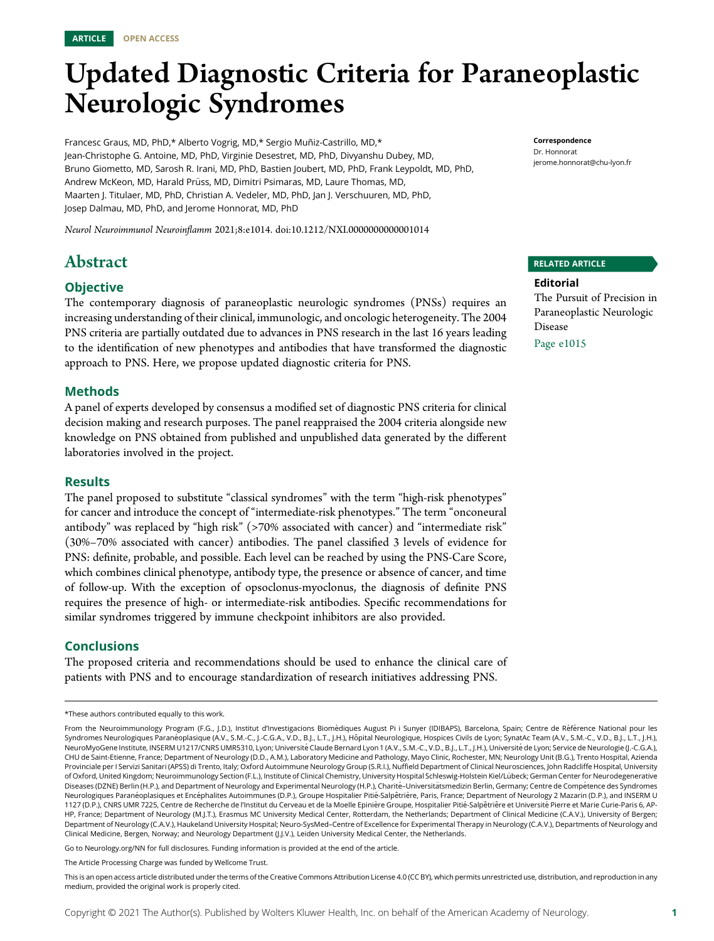

# Updated Diagnostic Criteria for Paraneoplastic Neurologic Syndromes

Francesc Graus, MD, PhD,\* Alberto Vogrig, MD,\* Sergio Muñiz-Castrillo, MD,\* Jean-Christophe G. Antoine, MD, PhD, Virginie Desestret, MD, PhD, Divyanshu Dubey, MD, Bruno Giometto, MD, Sarosh R. Irani, MD, PhD, Bastien Joubert, MD, PhD, Frank Leypoldt, MD, PhD, Andrew McKeon, MD, Harald Prüss, MD, Dimitri Psimaras, MD, Laure Thomas, MD, Maarten J. Titulaer, MD, PhD, Christian A. Vedeler, MD, PhD, Jan J. Verschuuren, MD, PhD, Josep Dalmau, MD, PhD, and Jerome Honnorat, MD, PhD

Neurol Neuroimmunol Neuroinflamm 2021;8:e1014. doi[:10.1212/NXI.0000000000001014](http://dx.doi.org/10.1212/NXI.0000000000001014)

# Abstract

### **Objective**

The contemporary diagnosis of paraneoplastic neurologic syndromes (PNSs) requires an increasing understanding of their clinical, immunologic, and oncologic heterogeneity. The 2004 PNS criteria are partially outdated due to advances in PNS research in the last 16 years leading to the identification of new phenotypes and antibodies that have transformed the diagnostic approach to PNS. Here, we propose updated diagnostic criteria for PNS.

### Methods

A panel of experts developed by consensus a modified set of diagnostic PNS criteria for clinical decision making and research purposes. The panel reappraised the 2004 criteria alongside new knowledge on PNS obtained from published and unpublished data generated by the different laboratories involved in the project.

### **Results**

The panel proposed to substitute "classical syndromes" with the term "high-risk phenotypes" for cancer and introduce the concept of "intermediate-risk phenotypes." The term "onconeural antibody" was replaced by "high risk" (>70% associated with cancer) and "intermediate risk" (30%–70% associated with cancer) antibodies. The panel classified 3 levels of evidence for PNS: definite, probable, and possible. Each level can be reached by using the PNS-Care Score, which combines clinical phenotype, antibody type, the presence or absence of cancer, and time of follow-up. With the exception of opsoclonus-myoclonus, the diagnosis of definite PNS requires the presence of high- or intermediate-risk antibodies. Specific recommendations for similar syndromes triggered by immune checkpoint inhibitors are also provided.

### Conclusions

The proposed criteria and recommendations should be used to enhance the clinical care of patients with PNS and to encourage standardization of research initiatives addressing PNS.

Go to [Neurology.org/NN](https://nn.neurology.org/content/8/4/e1014/tab-article-info) for full disclosures. Funding information is provided at the end of the article.

Correspondence Dr. Honnorat [jerome.honnorat@chu-lyon.fr](mailto:jerome.honnorat@chu-lyon.fr)

### RELATED ARTICLE

Editorial The Pursuit of Precision in Paraneoplastic Neurologic Disease

Page e1015

<sup>\*</sup>These authors contributed equally to this work.

From the Neuroimmunology Program (F.G., J.D.), Institut d'Investigacions Biomèdiques August Pi i Sunyer (IDIBAPS), Barcelona, Spain; Centre de Référence National pour les Syndromes Neurologiques Paranéoplasique (A.V., S.M.-C., J.-C.G.A., V.D., B.J., L.T., J.H.), Hôpital Neurologique, Hospices Civils de Lyon; SynatAc Team (A.V., S.M.-C., V.D., B.J., L.T., J.H.), NeuroMyoGene Institute, INSERM U1217/CNRS UMR5310, Lyon; Université Claude Bernard Lyon 1 (A.V., S.M.-C., V.D., B.J., L.T., J.H.), Université de Lyon; Service de Neurologie (J.-C.G.A.), CHU de Saint-Etienne, France; Department of Neurology (D.D., A.M.), Laboratory Medicine and Pathology, Mayo Clinic, Rochester, MN; Neurology Unit (B.G.), Trento Hospital, Azienda Provinciale per I Servizi Sanitari (APSS) di Trento, Italy; Oxford Autoimmune Neurology Group (S.R.I.), Nuffield Department of Clinical Neurosciences, John Radcliffe Hospital, University of Oxford, United Kingdom; Neuroimmunology Section (F.L.), Institute of Clinical Chemistry, University Hospital Schleswig-Holstein Kiel/Lubeck; German Center for Neurodegenerative ¨ Diseases (DZNE) Berlin (H.P.), and Department of Neurology and Experimental Neurology (H.P.), Charité-Universitätsmedizin Berlin, Germany; Centre de Compétence des Syndromes Neurologiques Paranéoplasiques et Encéphalites Autoimmunes (D.P.), Groupe Hospitalier Pitié-Salpêtrière, Paris, France; Department of Neurology 2 Mazarin (D.P.), and INSERM U 1127 (D.P.), CNRS UMR 7225, Centre de Recherche de l'Institut du Cerveau et de la Moelle Epinière Groupe, Hospitalier Pitié-Salpêtriêre et Université Pierre et Marie Curie-Paris 6, AP-HP, France; Department of Neurology (M.J.T.), Erasmus MC University Medical Center, Rotterdam, the Netherlands; Department of Clinical Medicine (C.A.V.), University of Bergen; Department of Neurology (C.A.V.), Haukeland University Hospital; Neuro-SysMed-Centre of Excellence for Experimental Therapy in Neurology (C.A.V.), Departments of Neurology and Clinical Medicine, Bergen, Norway; and Neurology Department (J.J.V.), Leiden University Medical Center, the Netherlands.

The Article Processing Charge was funded by Wellcome Trust.

This is an open access article distributed under the terms of the [Creative Commons Attribution License 4.0 \(CC BY\),](http://creativecommons.org/licenses/by/4.0/) which permits unrestricted use, distribution, and reproduction in any medium, provided the original work is properly cited.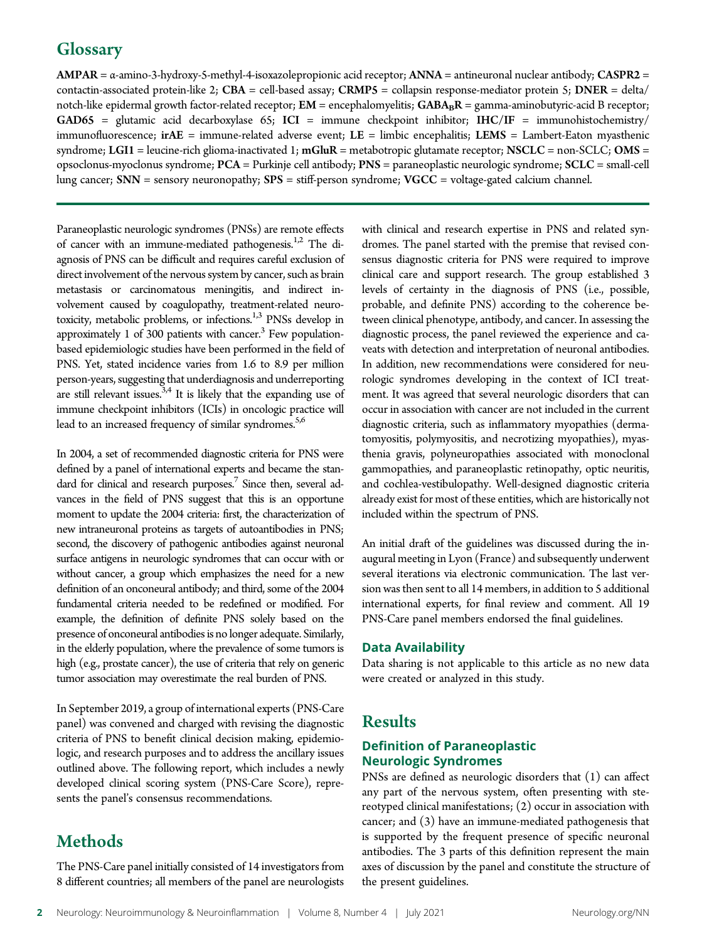# **Glossary**

AMPAR = α-amino-3-hydroxy-5-methyl-4-isoxazolepropionic acid receptor; ANNA = antineuronal nuclear antibody; CASPR2 = contactin-associated protein-like 2; CBA = cell-based assay; CRMP5 = collapsin response-mediator protein 5; DNER = delta/ notch-like epidermal growth factor-related receptor;  $EM =$  encephalomyelitis;  $GABA_BR =$  gamma-aminobutyric-acid B receptor; GAD65 = glutamic acid decarboxylase 65; ICI = immune checkpoint inhibitor; IHC/IF = immunohistochemistry/ immunofluorescence;  $\text{irAE} = \text{immune-related}$  adverse event;  $\text{LE} = \text{limbic}$  encephalitis;  $\text{LEMS} = \text{Lambert-Eaton}$  myasthenic syndrome; LGI1 = leucine-rich glioma-inactivated 1;  $mGluR$  = metabotropic glutamate receptor; NSCLC = non-SCLC; OMS = opsoclonus-myoclonus syndrome; PCA = Purkinje cell antibody; PNS = paraneoplastic neurologic syndrome; SCLC = small-cell lung cancer; SNN = sensory neuronopathy; SPS = stiff-person syndrome; VGCC = voltage-gated calcium channel.

Paraneoplastic neurologic syndromes (PNSs) are remote effects of cancer with an immune-mediated pathogenesis.<sup>1,2</sup> The diagnosis of PNS can be difficult and requires careful exclusion of direct involvement of the nervous system by cancer, such as brain metastasis or carcinomatous meningitis, and indirect involvement caused by coagulopathy, treatment-related neurotoxicity, metabolic problems, or infections.<sup>1,3</sup> PNSs develop in approximately 1 of 300 patients with cancer. $3$  Few populationbased epidemiologic studies have been performed in the field of PNS. Yet, stated incidence varies from 1.6 to 8.9 per million person-years, suggesting that underdiagnosis and underreporting are still relevant issues. $3,4$  It is likely that the expanding use of immune checkpoint inhibitors (ICIs) in oncologic practice will lead to an increased frequency of similar syndromes.<sup>5,6</sup>

In 2004, a set of recommended diagnostic criteria for PNS were defined by a panel of international experts and became the standard for clinical and research purposes.<sup>7</sup> Since then, several advances in the field of PNS suggest that this is an opportune moment to update the 2004 criteria: first, the characterization of new intraneuronal proteins as targets of autoantibodies in PNS; second, the discovery of pathogenic antibodies against neuronal surface antigens in neurologic syndromes that can occur with or without cancer, a group which emphasizes the need for a new definition of an onconeural antibody; and third, some of the 2004 fundamental criteria needed to be redefined or modified. For example, the definition of definite PNS solely based on the presence of onconeural antibodies is no longer adequate. Similarly, in the elderly population, where the prevalence of some tumors is high (e.g., prostate cancer), the use of criteria that rely on generic tumor association may overestimate the real burden of PNS.

In September 2019, a group of international experts (PNS-Care panel) was convened and charged with revising the diagnostic criteria of PNS to benefit clinical decision making, epidemiologic, and research purposes and to address the ancillary issues outlined above. The following report, which includes a newly developed clinical scoring system (PNS-Care Score), represents the panel's consensus recommendations.

# Methods

The PNS-Care panel initially consisted of 14 investigators from 8 different countries; all members of the panel are neurologists with clinical and research expertise in PNS and related syndromes. The panel started with the premise that revised consensus diagnostic criteria for PNS were required to improve clinical care and support research. The group established 3 levels of certainty in the diagnosis of PNS (i.e., possible, probable, and definite PNS) according to the coherence between clinical phenotype, antibody, and cancer. In assessing the diagnostic process, the panel reviewed the experience and caveats with detection and interpretation of neuronal antibodies. In addition, new recommendations were considered for neurologic syndromes developing in the context of ICI treatment. It was agreed that several neurologic disorders that can occur in association with cancer are not included in the current diagnostic criteria, such as inflammatory myopathies (dermatomyositis, polymyositis, and necrotizing myopathies), myasthenia gravis, polyneuropathies associated with monoclonal gammopathies, and paraneoplastic retinopathy, optic neuritis, and cochlea-vestibulopathy. Well-designed diagnostic criteria already exist for most of these entities, which are historically not included within the spectrum of PNS.

An initial draft of the guidelines was discussed during the inaugural meeting in Lyon (France) and subsequently underwent several iterations via electronic communication. The last version was then sent to all 14 members, in addition to 5 additional international experts, for final review and comment. All 19 PNS-Care panel members endorsed the final guidelines.

### Data Availability

Data sharing is not applicable to this article as no new data were created or analyzed in this study.

# Results

### Definition of Paraneoplastic Neurologic Syndromes

PNSs are defined as neurologic disorders that (1) can affect any part of the nervous system, often presenting with stereotyped clinical manifestations; (2) occur in association with cancer; and (3) have an immune-mediated pathogenesis that is supported by the frequent presence of specific neuronal antibodies. The 3 parts of this definition represent the main axes of discussion by the panel and constitute the structure of the present guidelines.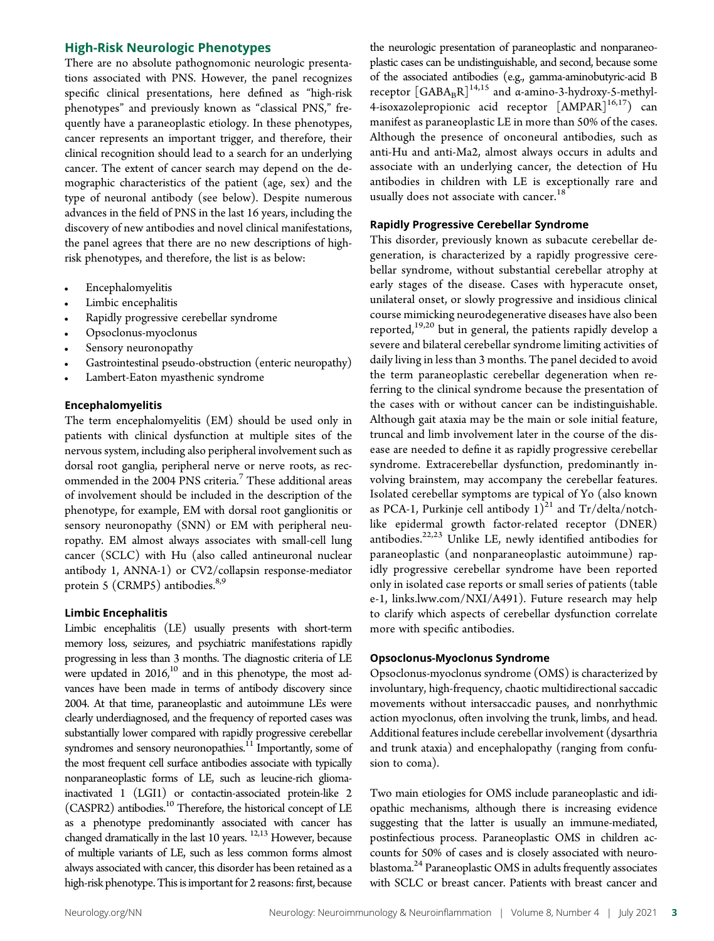### High-Risk Neurologic Phenotypes

There are no absolute pathognomonic neurologic presentations associated with PNS. However, the panel recognizes specific clinical presentations, here defined as "high-risk phenotypes" and previously known as "classical PNS," frequently have a paraneoplastic etiology. In these phenotypes, cancer represents an important trigger, and therefore, their clinical recognition should lead to a search for an underlying cancer. The extent of cancer search may depend on the demographic characteristics of the patient (age, sex) and the type of neuronal antibody (see below). Despite numerous advances in the field of PNS in the last 16 years, including the discovery of new antibodies and novel clinical manifestations, the panel agrees that there are no new descriptions of highrisk phenotypes, and therefore, the list is as below:

- Encephalomyelitis
- Limbic encephalitis
- Rapidly progressive cerebellar syndrome
- <sup>c</sup> Opsoclonus-myoclonus
- Sensory neuronopathy
- Gastrointestinal pseudo-obstruction (enteric neuropathy)
- Lambert-Eaton myasthenic syndrome

### Encephalomyelitis

The term encephalomyelitis (EM) should be used only in patients with clinical dysfunction at multiple sites of the nervous system, including also peripheral involvement such as dorsal root ganglia, peripheral nerve or nerve roots, as recommended in the 2004 PNS criteria.<sup>7</sup> These additional areas of involvement should be included in the description of the phenotype, for example, EM with dorsal root ganglionitis or sensory neuronopathy (SNN) or EM with peripheral neuropathy. EM almost always associates with small-cell lung cancer (SCLC) with Hu (also called antineuronal nuclear antibody 1, ANNA-1) or CV2/collapsin response-mediator protein 5 (CRMP5) antibodies.<sup>8,9</sup>

### Limbic Encephalitis

Limbic encephalitis (LE) usually presents with short-term memory loss, seizures, and psychiatric manifestations rapidly progressing in less than 3 months. The diagnostic criteria of LE were updated in  $2016$ ,<sup>10</sup> and in this phenotype, the most advances have been made in terms of antibody discovery since 2004. At that time, paraneoplastic and autoimmune LEs were clearly underdiagnosed, and the frequency of reported cases was substantially lower compared with rapidly progressive cerebellar syndromes and sensory neuronopathies. $11$  Importantly, some of the most frequent cell surface antibodies associate with typically nonparaneoplastic forms of LE, such as leucine-rich gliomainactivated 1 (LGI1) or contactin-associated protein-like 2 (CASPR2) antibodies.10 Therefore, the historical concept of LE as a phenotype predominantly associated with cancer has changed dramatically in the last 10 years. 12,13 However, because of multiple variants of LE, such as less common forms almost always associated with cancer, this disorder has been retained as a high-risk phenotype. This is important for 2 reasons: first, because

the neurologic presentation of paraneoplastic and nonparaneoplastic cases can be undistinguishable, and second, because some of the associated antibodies (e.g., gamma-aminobutyric-acid B receptor  $\left[\text{GABA}_\text{B}\text{R}\right]^{14,15}$  and  $\alpha$ -amino-3-hydroxy-5-methyl-4-isoxazolepropionic acid receptor  $[AMPAR]^{16,17}$  can manifest as paraneoplastic LE in more than 50% of the cases. Although the presence of onconeural antibodies, such as anti-Hu and anti-Ma2, almost always occurs in adults and associate with an underlying cancer, the detection of Hu antibodies in children with LE is exceptionally rare and usually does not associate with cancer.<sup>18</sup>

### Rapidly Progressive Cerebellar Syndrome

This disorder, previously known as subacute cerebellar degeneration, is characterized by a rapidly progressive cerebellar syndrome, without substantial cerebellar atrophy at early stages of the disease. Cases with hyperacute onset, unilateral onset, or slowly progressive and insidious clinical course mimicking neurodegenerative diseases have also been reported,<sup>19,20</sup> but in general, the patients rapidly develop a severe and bilateral cerebellar syndrome limiting activities of daily living in less than 3 months. The panel decided to avoid the term paraneoplastic cerebellar degeneration when referring to the clinical syndrome because the presentation of the cases with or without cancer can be indistinguishable. Although gait ataxia may be the main or sole initial feature, truncal and limb involvement later in the course of the disease are needed to define it as rapidly progressive cerebellar syndrome. Extracerebellar dysfunction, predominantly involving brainstem, may accompany the cerebellar features. Isolated cerebellar symptoms are typical of Yo (also known as PCA-1, Purkinje cell antibody  $1)^{21}$  and Tr/delta/notchlike epidermal growth factor-related receptor (DNER) antibodies.22,23 Unlike LE, newly identified antibodies for paraneoplastic (and nonparaneoplastic autoimmune) rapidly progressive cerebellar syndrome have been reported only in isolated case reports or small series of patients (table e-1, [links.lww.com/NXI/A491](http://links.lww.com/NXI/A491)). Future research may help to clarify which aspects of cerebellar dysfunction correlate more with specific antibodies.

### Opsoclonus-Myoclonus Syndrome

Opsoclonus-myoclonus syndrome (OMS) is characterized by involuntary, high-frequency, chaotic multidirectional saccadic movements without intersaccadic pauses, and nonrhythmic action myoclonus, often involving the trunk, limbs, and head. Additional features include cerebellar involvement (dysarthria and trunk ataxia) and encephalopathy (ranging from confusion to coma).

Two main etiologies for OMS include paraneoplastic and idiopathic mechanisms, although there is increasing evidence suggesting that the latter is usually an immune-mediated, postinfectious process. Paraneoplastic OMS in children accounts for 50% of cases and is closely associated with neuroblastoma.<sup>24</sup> Paraneoplastic OMS in adults frequently associates with SCLC or breast cancer. Patients with breast cancer and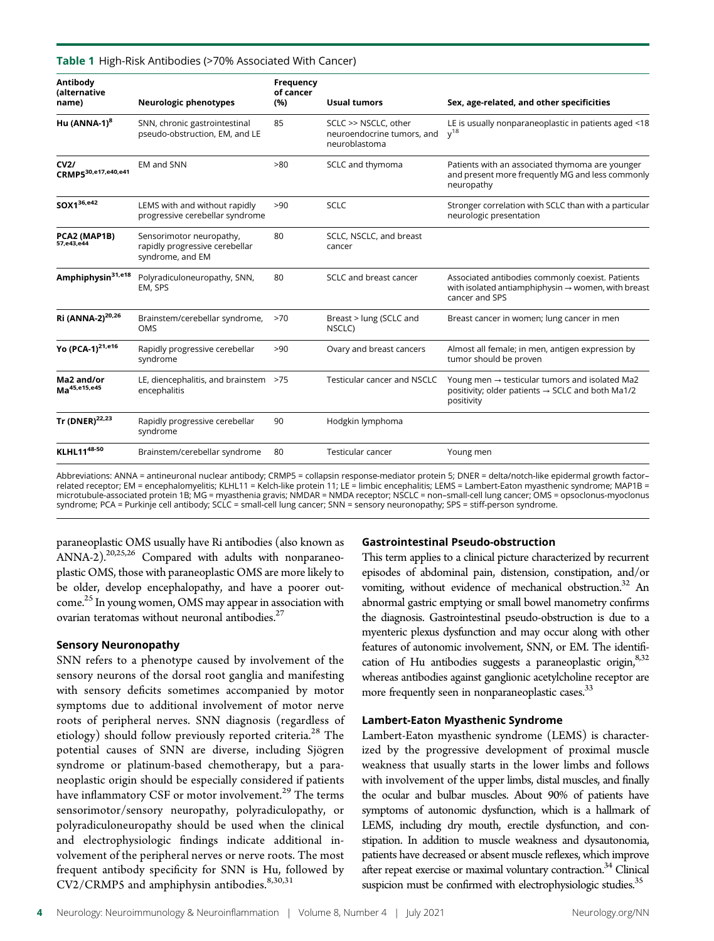### Table 1 High-Risk Antibodies (>70% Associated With Cancer)

| Antibody<br><i>(alternative</i><br>name) | <b>Neurologic phenotypes</b>                                                   | Frequency<br>of cancer<br>(%) | <b>Usual tumors</b>                                                 | Sex, age-related, and other specificities                                                                                                |
|------------------------------------------|--------------------------------------------------------------------------------|-------------------------------|---------------------------------------------------------------------|------------------------------------------------------------------------------------------------------------------------------------------|
| Hu $(ANNA-1)^8$                          | SNN, chronic gastrointestinal<br>pseudo-obstruction, EM, and LE                | 85                            | SCLC >> NSCLC, other<br>neuroendocrine tumors, and<br>neuroblastoma | LE is usually nonparaneoplastic in patients aged <18<br>$y^{18}$                                                                         |
| CV2/<br>CRMP5 <sup>30,e17,e40,e41</sup>  | <b>EM and SNN</b>                                                              | >80                           | SCLC and thymoma                                                    | Patients with an associated thymoma are younger<br>and present more frequently MG and less commonly<br>neuropathy                        |
| SOX136,e42                               | LEMS with and without rapidly<br>progressive cerebellar syndrome               | >90                           | <b>SCLC</b>                                                         | Stronger correlation with SCLC than with a particular<br>neurologic presentation                                                         |
| PCA2 (MAP1B)<br>57,e43,e44               | Sensorimotor neuropathy,<br>rapidly progressive cerebellar<br>syndrome, and EM | 80                            | SCLC, NSCLC, and breast<br>cancer                                   |                                                                                                                                          |
| Amphiphysin <sup>31,e18</sup>            | Polyradiculoneuropathy, SNN,<br>EM, SPS                                        | 80                            | SCLC and breast cancer                                              | Associated antibodies commonly coexist. Patients<br>with isolated antiamphiphysin $\rightarrow$ women, with breast<br>cancer and SPS     |
| Ri (ANNA-2) <sup>20,26</sup>             | Brainstem/cerebellar syndrome,<br><b>OMS</b>                                   | >70                           | Breast > lung (SCLC and<br>NSCLC)                                   | Breast cancer in women; lung cancer in men                                                                                               |
| Yo (PCA-1) <sup>21,e16</sup>             | Rapidly progressive cerebellar<br>syndrome                                     | >90                           | Ovary and breast cancers                                            | Almost all female; in men, antigen expression by<br>tumor should be proven                                                               |
| Ma2 and/or<br>Ma <sup>45,e15,e45</sup>   | LE, diencephalitis, and brainstem >75<br>encephalitis                          |                               | Testicular cancer and NSCLC                                         | Young men $\rightarrow$ testicular tumors and isolated Ma2<br>positivity; older patients $\rightarrow$ SCLC and both Ma1/2<br>positivity |
| Tr (DNER) <sup>22,23</sup>               | Rapidly progressive cerebellar<br>syndrome                                     | 90                            | Hodgkin lymphoma                                                    |                                                                                                                                          |
| <b>KLHL1148-50</b>                       | Brainstem/cerebellar syndrome                                                  | 80                            | <b>Testicular cancer</b>                                            | Young men                                                                                                                                |

Abbreviations: ANNA = antineuronal nuclear antibody; CRMP5 = collapsin response-mediator protein 5; DNER = delta/notch-like epidermal growth factor– related receptor; EM = encephalomyelitis; KLHL11 = Kelch-like protein 11; LE = limbic encephalitis; LEMS = Lambert-Eaton myasthenic syndrome; MAP1B = microtubule-associated protein 1B; MG = myasthenia gravis; NMDAR = NMDA receptor; NSCLC = non–small-cell lung cancer; OMS = opsoclonus-myoclonus syndrome; PCA = Purkinje cell antibody; SCLC = small-cell lung cancer; SNN = sensory neuronopathy; SPS = stiff-person syndrome.

paraneoplastic OMS usually have Ri antibodies (also known as ANNA-2).<sup>20,25,26</sup> Compared with adults with nonparaneoplastic OMS, those with paraneoplastic OMS are more likely to be older, develop encephalopathy, and have a poorer outcome.<sup>25</sup> In young women, OMS may appear in association with ovarian teratomas without neuronal antibodies. $27$ 

### Sensory Neuronopathy

SNN refers to a phenotype caused by involvement of the sensory neurons of the dorsal root ganglia and manifesting with sensory deficits sometimes accompanied by motor symptoms due to additional involvement of motor nerve roots of peripheral nerves. SNN diagnosis (regardless of etiology) should follow previously reported criteria.<sup>28</sup> The potential causes of SNN are diverse, including Sjögren syndrome or platinum-based chemotherapy, but a paraneoplastic origin should be especially considered if patients have inflammatory CSF or motor involvement.<sup>29</sup> The terms sensorimotor/sensory neuropathy, polyradiculopathy, or polyradiculoneuropathy should be used when the clinical and electrophysiologic findings indicate additional involvement of the peripheral nerves or nerve roots. The most frequent antibody specificity for SNN is Hu, followed by CV2/CRMP5 and amphiphysin antibodies.<sup>8,30,31</sup>

### Gastrointestinal Pseudo-obstruction

This term applies to a clinical picture characterized by recurrent episodes of abdominal pain, distension, constipation, and/or vomiting, without evidence of mechanical obstruction.<sup>32</sup> An abnormal gastric emptying or small bowel manometry confirms the diagnosis. Gastrointestinal pseudo-obstruction is due to a myenteric plexus dysfunction and may occur along with other features of autonomic involvement, SNN, or EM. The identification of Hu antibodies suggests a paraneoplastic origin,  $8,32$ whereas antibodies against ganglionic acetylcholine receptor are more frequently seen in nonparaneoplastic cases.<sup>33</sup>

### Lambert-Eaton Myasthenic Syndrome

Lambert-Eaton myasthenic syndrome (LEMS) is characterized by the progressive development of proximal muscle weakness that usually starts in the lower limbs and follows with involvement of the upper limbs, distal muscles, and finally the ocular and bulbar muscles. About 90% of patients have symptoms of autonomic dysfunction, which is a hallmark of LEMS, including dry mouth, erectile dysfunction, and constipation. In addition to muscle weakness and dysautonomia, patients have decreased or absent muscle reflexes, which improve after repeat exercise or maximal voluntary contraction.<sup>34</sup> Clinical suspicion must be confirmed with electrophysiologic studies.<sup>35</sup>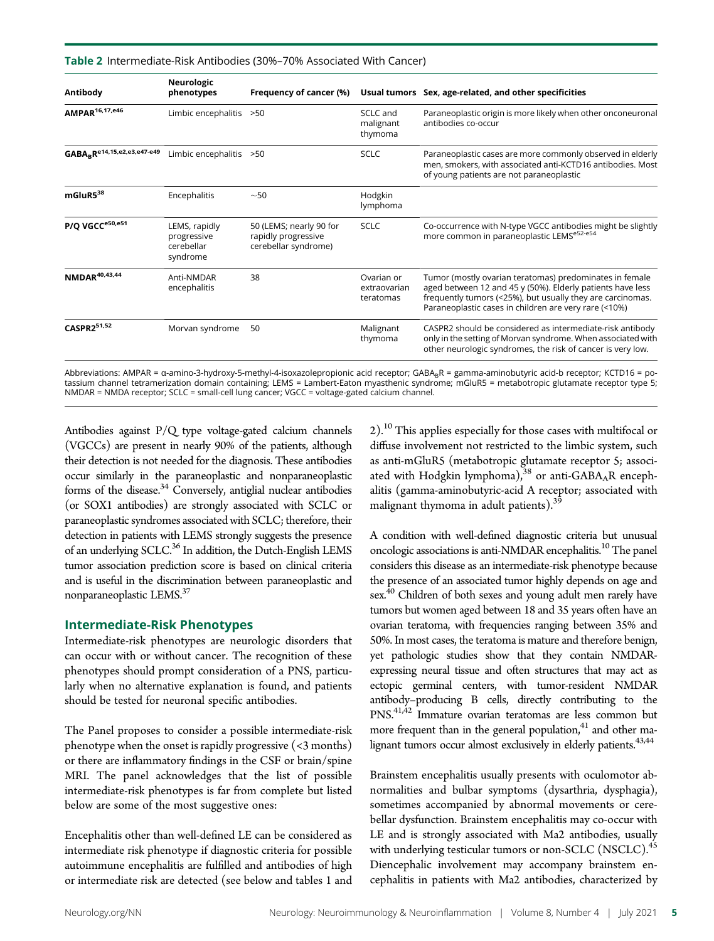### Table 2 Intermediate-Risk Antibodies (30%–70% Associated With Cancer)

| Neurologic<br>phenotypes                               | Frequency of cancer (%)                                                | Usual tumors                               | Sex, age-related, and other specificities                                                                                                                                                                                                    |
|--------------------------------------------------------|------------------------------------------------------------------------|--------------------------------------------|----------------------------------------------------------------------------------------------------------------------------------------------------------------------------------------------------------------------------------------------|
|                                                        | >50                                                                    | SCLC and<br>malignant<br>thymoma           | Paraneoplastic origin is more likely when other onconeuronal<br>antibodies co-occur                                                                                                                                                          |
|                                                        | >50                                                                    | <b>SCLC</b>                                | Paraneoplastic cases are more commonly observed in elderly<br>men, smokers, with associated anti-KCTD16 antibodies. Most<br>of young patients are not paraneoplastic                                                                         |
| Encephalitis                                           | $~1$ – 50                                                              | Hodgkin<br>lymphoma                        |                                                                                                                                                                                                                                              |
| LEMS, rapidly<br>progressive<br>cerebellar<br>syndrome | 50 (LEMS; nearly 90 for<br>rapidly progressive<br>cerebellar syndrome) | <b>SCLC</b>                                | Co-occurrence with N-type VGCC antibodies might be slightly<br>more common in paraneoplastic LEMSe52-e54                                                                                                                                     |
| Anti-NMDAR<br>encephalitis                             | 38                                                                     | Ovarian or<br>extraovarian<br>teratomas    | Tumor (mostly ovarian teratomas) predominates in female<br>aged between 12 and 45 y (50%). Elderly patients have less<br>frequently tumors (<25%), but usually they are carcinomas.<br>Paraneoplastic cases in children are very rare (<10%) |
| Morvan syndrome                                        | 50                                                                     | Malignant<br>thymoma                       | CASPR2 should be considered as intermediate-risk antibody<br>only in the setting of Morvan syndrome. When associated with<br>other neurologic syndromes, the risk of cancer is very low.                                                     |
|                                                        |                                                                        | Limbic encephalitis<br>Limbic encephalitis |                                                                                                                                                                                                                                              |

Abbreviations: AMPAR = α-amino-3-hydroxy-5-methyl-4-isoxazolepropionic acid receptor; GABA<sub>B</sub>R = gamma-aminobutyric acid-b receptor; KCTD16 = potassium channel tetramerization domain containing; LEMS = Lambert-Eaton myasthenic syndrome; mGluR5 = metabotropic glutamate receptor type 5; NMDAR = NMDA receptor; SCLC = small-cell lung cancer; VGCC = voltage-gated calcium channel.

Antibodies against P/Q type voltage-gated calcium channels (VGCCs) are present in nearly 90% of the patients, although their detection is not needed for the diagnosis. These antibodies occur similarly in the paraneoplastic and nonparaneoplastic forms of the disease.<sup>34</sup> Conversely, antiglial nuclear antibodies (or SOX1 antibodies) are strongly associated with SCLC or paraneoplastic syndromes associated with SCLC; therefore, their detection in patients with LEMS strongly suggests the presence of an underlying SCLC.<sup>36</sup> In addition, the Dutch-English LEMS tumor association prediction score is based on clinical criteria and is useful in the discrimination between paraneoplastic and nonparaneoplastic LEMS.37

### Intermediate-Risk Phenotypes

Intermediate-risk phenotypes are neurologic disorders that can occur with or without cancer. The recognition of these phenotypes should prompt consideration of a PNS, particularly when no alternative explanation is found, and patients should be tested for neuronal specific antibodies.

The Panel proposes to consider a possible intermediate-risk phenotype when the onset is rapidly progressive  $($ <3 months) or there are inflammatory findings in the CSF or brain/spine MRI. The panel acknowledges that the list of possible intermediate-risk phenotypes is far from complete but listed below are some of the most suggestive ones:

Encephalitis other than well-defined LE can be considered as intermediate risk phenotype if diagnostic criteria for possible autoimmune encephalitis are fulfilled and antibodies of high or intermediate risk are detected (see below and tables 1 and

2).<sup>10</sup> This applies especially for those cases with multifocal or diffuse involvement not restricted to the limbic system, such as anti-mGluR5 (metabotropic glutamate receptor 5; associated with Hodgkin lymphoma),<sup>38</sup> or anti-GABA<sub>A</sub>R encephalitis (gamma-aminobutyric-acid A receptor; associated with malignant thymoma in adult patients).<sup>39</sup>

A condition with well-defined diagnostic criteria but unusual oncologic associations is anti-NMDAR encephalitis.<sup>10</sup> The panel considers this disease as an intermediate-risk phenotype because the presence of an associated tumor highly depends on age and sex.40 Children of both sexes and young adult men rarely have tumors but women aged between 18 and 35 years often have an ovarian teratoma, with frequencies ranging between 35% and 50%. In most cases, the teratoma is mature and therefore benign, yet pathologic studies show that they contain NMDARexpressing neural tissue and often structures that may act as ectopic germinal centers, with tumor-resident NMDAR antibody–producing B cells, directly contributing to the PNS.41,42 Immature ovarian teratomas are less common but more frequent than in the general population, $41$  and other malignant tumors occur almost exclusively in elderly patients.<sup>43,44</sup>

Brainstem encephalitis usually presents with oculomotor abnormalities and bulbar symptoms (dysarthria, dysphagia), sometimes accompanied by abnormal movements or cerebellar dysfunction. Brainstem encephalitis may co-occur with LE and is strongly associated with Ma2 antibodies, usually with underlying testicular tumors or non-SCLC (NSCLC).<sup>45</sup> Diencephalic involvement may accompany brainstem encephalitis in patients with Ma2 antibodies, characterized by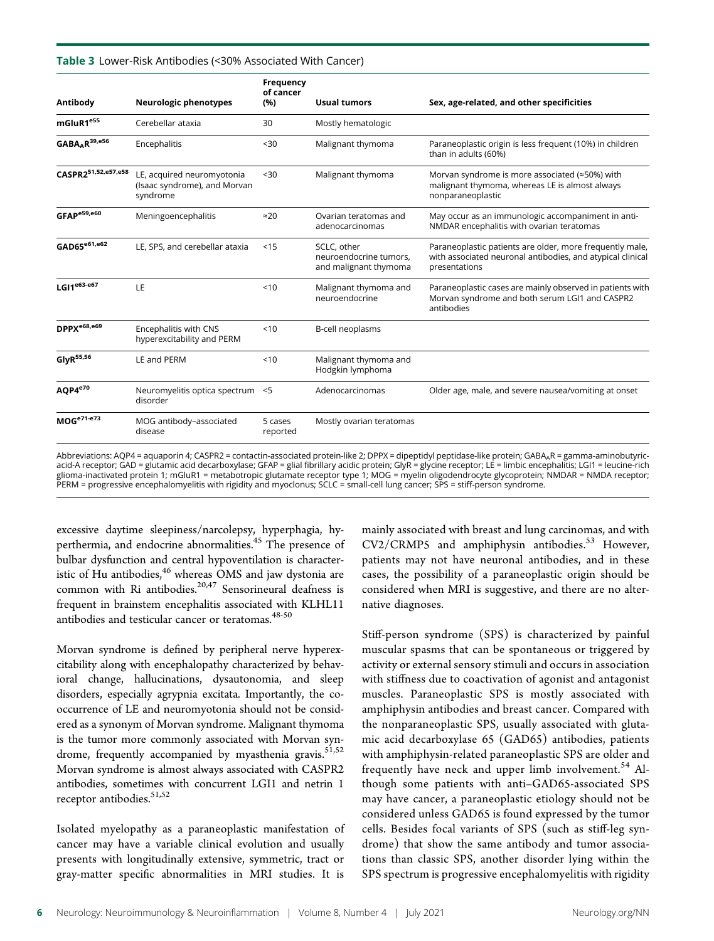### Table 3 Lower-Risk Antibodies (<30% Associated With Cancer)

|                          |                                                                        | <b>Frequency</b><br>of cancer |                                                                |                                                                                                                                         |
|--------------------------|------------------------------------------------------------------------|-------------------------------|----------------------------------------------------------------|-----------------------------------------------------------------------------------------------------------------------------------------|
| Antibody                 | Neurologic phenotypes                                                  | (%)                           | <b>Usual tumors</b>                                            | Sex, age-related, and other specificities                                                                                               |
| mGluR1 <sup>e55</sup>    | Cerebellar ataxia                                                      | 30                            | Mostly hematologic                                             |                                                                                                                                         |
| $GABA_AR^{39, e56}$      | Encephalitis                                                           | $30$                          | Malignant thymoma                                              | Paraneoplastic origin is less frequent (10%) in children<br>than in adults (60%)                                                        |
| CASPR251,52,e57,e58      | LE, acquired neuromyotonia<br>(Isaac syndrome), and Morvan<br>syndrome | < 30                          | Malignant thymoma                                              | Morvan syndrome is more associated (≈50%) with<br>malignant thymoma, whereas LE is almost always<br>nonparaneoplastic                   |
| GFAPe59,e60              | Meningoencephalitis                                                    | $\approx$ 20                  | Ovarian teratomas and<br>adenocarcinomas                       | May occur as an immunologic accompaniment in anti-<br>NMDAR encephalitis with ovarian teratomas                                         |
| GAD65 <sup>e61,e62</sup> | LE, SPS, and cerebellar ataxia                                         | < 15                          | SCLC, other<br>neuroendocrine tumors,<br>and malignant thymoma | Paraneoplastic patients are older, more frequently male,<br>with associated neuronal antibodies, and atypical clinical<br>presentations |
| LGI1 $e^{63-e67}$        | LE                                                                     | 10                            | Malignant thymoma and<br>neuroendocrine                        | Paraneoplastic cases are mainly observed in patients with<br>Morvan syndrome and both serum LGI1 and CASPR2<br>antibodies               |
| DPPX <sup>e68,e69</sup>  | Encephalitis with CNS<br>hyperexcitability and PERM                    | < 10                          | B-cell neoplasms                                               |                                                                                                                                         |
| GlyR <sup>55,56</sup>    | LE and PERM                                                            | $10^{-1}$                     | Malignant thymoma and<br>Hodgkin lymphoma                      |                                                                                                                                         |
| AQP4 <sup>e70</sup>      | Neuromyelitis optica spectrum <5<br>disorder                           |                               | Adenocarcinomas                                                | Older age, male, and severe nausea/vomiting at onset                                                                                    |
| $MOG^{e71-e73}$          | MOG antibody-associated<br>disease                                     | 5 cases<br>reported           | Mostly ovarian teratomas                                       |                                                                                                                                         |

Abbreviations: AQP4 = aquaporin 4; CASPR2 = contactin-associated protein-like 2; DPPX = dipeptidyl peptidase-like protein; GABAAR = gamma-aminobutyricacid-A receptor; GAD = glutamic acid decarboxylase; GFAP = glial fibrillary acidic protein; GlyR = glycine receptor; LE = limbic encephalitis; LGI1 = leucine-rich<br>glioma-inactivated protein 1; mGluR1 = metabotropic glutama PERM = progressive encephalomyelitis with rigidity and myoclonus; SCLC = small-cell lung cancer; SPS = stiff-person syndrome.

excessive daytime sleepiness/narcolepsy, hyperphagia, hyperthermia, and endocrine abnormalities.<sup>45</sup> The presence of bulbar dysfunction and central hypoventilation is characteristic of Hu antibodies, $46$  whereas OMS and jaw dystonia are common with Ri antibodies. $20,47$  Sensorineural deafness is frequent in brainstem encephalitis associated with KLHL11 antibodies and testicular cancer or teratomas.<sup>48-50</sup>

Morvan syndrome is defined by peripheral nerve hyperexcitability along with encephalopathy characterized by behavioral change, hallucinations, dysautonomia, and sleep disorders, especially agrypnia excitata. Importantly, the cooccurrence of LE and neuromyotonia should not be considered as a synonym of Morvan syndrome. Malignant thymoma is the tumor more commonly associated with Morvan syndrome, frequently accompanied by myasthenia gravis.<sup>51,52</sup> Morvan syndrome is almost always associated with CASPR2 antibodies, sometimes with concurrent LGI1 and netrin 1 receptor antibodies.<sup>51,52</sup>

Isolated myelopathy as a paraneoplastic manifestation of cancer may have a variable clinical evolution and usually presents with longitudinally extensive, symmetric, tract or gray-matter specific abnormalities in MRI studies. It is

mainly associated with breast and lung carcinomas, and with  $CV2/CRMP5$  and amphiphysin antibodies.<sup>53</sup> However, patients may not have neuronal antibodies, and in these cases, the possibility of a paraneoplastic origin should be considered when MRI is suggestive, and there are no alternative diagnoses.

Stiff-person syndrome (SPS) is characterized by painful muscular spasms that can be spontaneous or triggered by activity or external sensory stimuli and occurs in association with stiffness due to coactivation of agonist and antagonist muscles. Paraneoplastic SPS is mostly associated with amphiphysin antibodies and breast cancer. Compared with the nonparaneoplastic SPS, usually associated with glutamic acid decarboxylase 65 (GAD65) antibodies, patients with amphiphysin-related paraneoplastic SPS are older and frequently have neck and upper limb involvement.<sup>54</sup> Although some patients with anti–GAD65-associated SPS may have cancer, a paraneoplastic etiology should not be considered unless GAD65 is found expressed by the tumor cells. Besides focal variants of SPS (such as stiff-leg syndrome) that show the same antibody and tumor associations than classic SPS, another disorder lying within the SPS spectrum is progressive encephalomyelitis with rigidity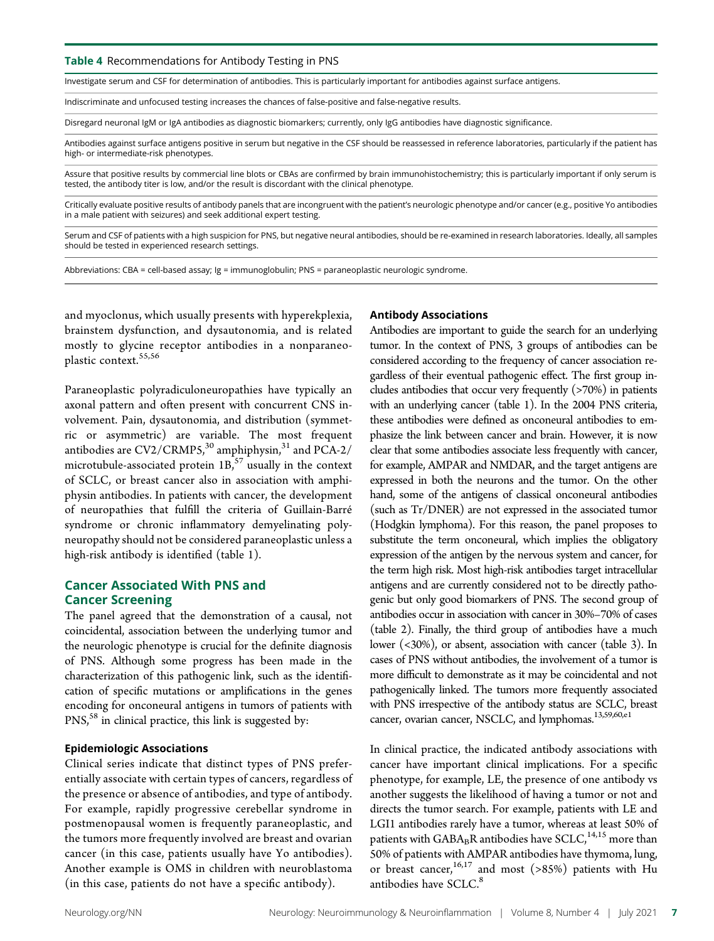Table 4 Recommendations for Antibody Testing in PNS

Investigate serum and CSF for determination of antibodies. This is particularly important for antibodies against surface antigens.

Indiscriminate and unfocused testing increases the chances of false-positive and false-negative results.

Disregard neuronal IgM or IgA antibodies as diagnostic biomarkers; currently, only IgG antibodies have diagnostic significance.

Antibodies against surface antigens positive in serum but negative in the CSF should be reassessed in reference laboratories, particularly if the patient has high- or intermediate-risk phenotypes.

Assure that positive results by commercial line blots or CBAs are confirmed by brain immunohistochemistry; this is particularly important if only serum is tested, the antibody titer is low, and/or the result is discordant with the clinical phenotype.

Critically evaluate positive results of antibody panels that are incongruent with the patient's neurologic phenotype and/or cancer (e.g., positive Yo antibodies in a male patient with seizures) and seek additional expert testing.

Serum and CSF of patients with a high suspicion for PNS, but negative neural antibodies, should be re-examined in research laboratories. Ideally, all samples should be tested in experienced research settings.

Abbreviations: CBA = cell-based assay; Ig = immunoglobulin; PNS = paraneoplastic neurologic syndrome.

and myoclonus, which usually presents with hyperekplexia, brainstem dysfunction, and dysautonomia, and is related mostly to glycine receptor antibodies in a nonparaneoplastic context.<sup>55,56</sup>

Paraneoplastic polyradiculoneuropathies have typically an axonal pattern and often present with concurrent CNS involvement. Pain, dysautonomia, and distribution (symmetric or asymmetric) are variable. The most frequent antibodies are  $CV2/CRMP5<sub>1</sub><sup>30</sup>$  amphiphysin,<sup>31</sup> and PCA-2/ microtubule-associated protein  $1B<sub>1</sub>$ <sup>57</sup> usually in the context of SCLC, or breast cancer also in association with amphiphysin antibodies. In patients with cancer, the development of neuropathies that fulfill the criteria of Guillain-Barré syndrome or chronic inflammatory demyelinating polyneuropathy should not be considered paraneoplastic unless a high-risk antibody is identified (table 1).

### Cancer Associated With PNS and Cancer Screening

The panel agreed that the demonstration of a causal, not coincidental, association between the underlying tumor and the neurologic phenotype is crucial for the definite diagnosis of PNS. Although some progress has been made in the characterization of this pathogenic link, such as the identification of specific mutations or amplifications in the genes encoding for onconeural antigens in tumors of patients with PNS,<sup>58</sup> in clinical practice, this link is suggested by:

### Epidemiologic Associations

Clinical series indicate that distinct types of PNS preferentially associate with certain types of cancers, regardless of the presence or absence of antibodies, and type of antibody. For example, rapidly progressive cerebellar syndrome in postmenopausal women is frequently paraneoplastic, and the tumors more frequently involved are breast and ovarian cancer (in this case, patients usually have Yo antibodies). Another example is OMS in children with neuroblastoma (in this case, patients do not have a specific antibody).

### Antibody Associations

Antibodies are important to guide the search for an underlying tumor. In the context of PNS, 3 groups of antibodies can be considered according to the frequency of cancer association regardless of their eventual pathogenic effect. The first group includes antibodies that occur very frequently (>70%) in patients with an underlying cancer (table 1). In the 2004 PNS criteria, these antibodies were defined as onconeural antibodies to emphasize the link between cancer and brain. However, it is now clear that some antibodies associate less frequently with cancer, for example, AMPAR and NMDAR, and the target antigens are expressed in both the neurons and the tumor. On the other hand, some of the antigens of classical onconeural antibodies (such as Tr/DNER) are not expressed in the associated tumor (Hodgkin lymphoma). For this reason, the panel proposes to substitute the term onconeural, which implies the obligatory expression of the antigen by the nervous system and cancer, for the term high risk. Most high-risk antibodies target intracellular antigens and are currently considered not to be directly pathogenic but only good biomarkers of PNS. The second group of antibodies occur in association with cancer in 30%–70% of cases (table 2). Finally, the third group of antibodies have a much lower (<30%), or absent, association with cancer (table 3). In cases of PNS without antibodies, the involvement of a tumor is more difficult to demonstrate as it may be coincidental and not pathogenically linked. The tumors more frequently associated with PNS irrespective of the antibody status are SCLC, breast cancer, ovarian cancer, NSCLC, and lymphomas.<sup>13,59,60,e1</sup>

In clinical practice, the indicated antibody associations with cancer have important clinical implications. For a specific phenotype, for example, LE, the presence of one antibody vs another suggests the likelihood of having a tumor or not and directs the tumor search. For example, patients with LE and LGI1 antibodies rarely have a tumor, whereas at least 50% of patients with  $\mathsf{GABA}_\mathtt{B}R$  antibodies have  $\mathsf{SCLC}_\mathtt{,}^{14,15}$  more than 50% of patients with AMPAR antibodies have thymoma, lung, or breast cancer,  $16,17$  and most (>85%) patients with Hu antibodies have SCLC.<sup>8</sup>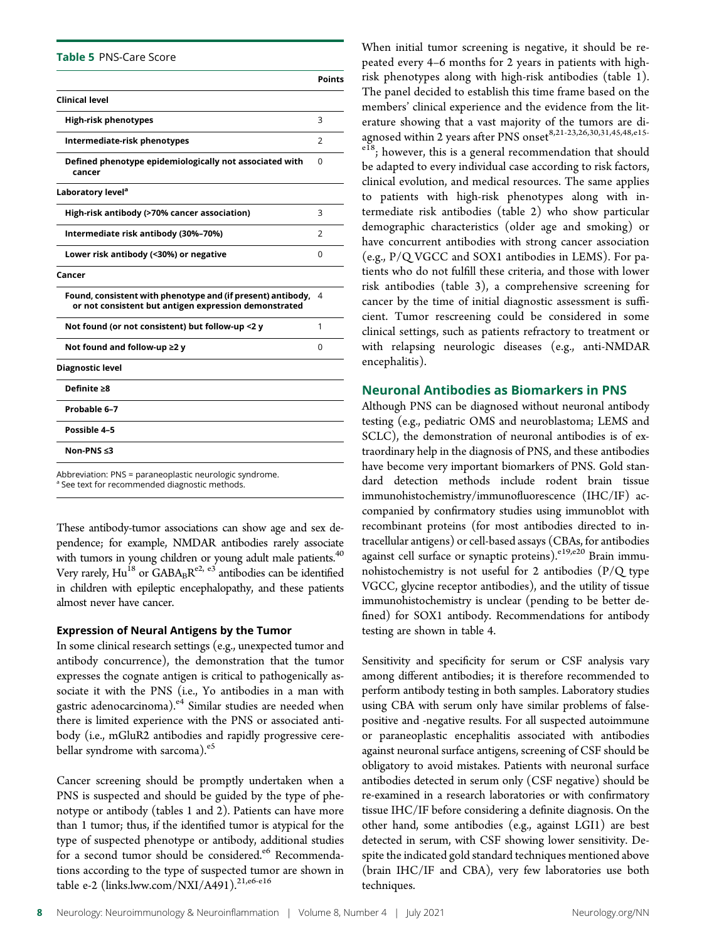Table 5 PNS-Care Score

|                                                                                                                      | Points |
|----------------------------------------------------------------------------------------------------------------------|--------|
| <b>Clinical level</b>                                                                                                |        |
| High-risk phenotypes                                                                                                 | 3      |
| Intermediate-risk phenotypes                                                                                         | 2      |
| Defined phenotype epidemiologically not associated with<br>cancer                                                    | 0      |
| Laboratory level <sup>a</sup>                                                                                        |        |
| High-risk antibody (>70% cancer association)                                                                         | 3      |
| Intermediate risk antibody (30%-70%)                                                                                 | 2      |
| Lower risk antibody (<30%) or negative                                                                               | 0      |
| Cancer                                                                                                               |        |
| Found, consistent with phenotype and (if present) antibody,<br>or not consistent but antigen expression demonstrated | 4      |
| Not found (or not consistent) but follow-up <2 y                                                                     | 1      |
| Not found and follow-up ≥2 y                                                                                         | 0      |
| Diagnostic level                                                                                                     |        |
| Definite >8                                                                                                          |        |
| Probable 6-7                                                                                                         |        |
| Possible 4-5                                                                                                         |        |
| Non-PNS ≤3                                                                                                           |        |
| Abbreviation: PNS = paraneoplastic neurologic syndrome.                                                              |        |

<sup>a</sup> See text for recommended diagnostic methods.

These antibody-tumor associations can show age and sex dependence; for example, NMDAR antibodies rarely associate with tumors in young children or young adult male patients.<sup>40</sup> Very rarely,  $\text{Hu}^{18}$  or  $\text{GABA}_{\text{B}}\text{R}^{\text{e2, e3}}$  antibodies can be identified in children with epileptic encephalopathy, and these patients almost never have cancer.

### Expression of Neural Antigens by the Tumor

In some clinical research settings (e.g., unexpected tumor and antibody concurrence), the demonstration that the tumor expresses the cognate antigen is critical to pathogenically associate it with the PNS (i.e., Yo antibodies in a man with gastric adenocarcinoma).<sup>e4</sup> Similar studies are needed when there is limited experience with the PNS or associated antibody (i.e., mGluR2 antibodies and rapidly progressive cerebellar syndrome with sarcoma).<sup>e5</sup>

Cancer screening should be promptly undertaken when a PNS is suspected and should be guided by the type of phenotype or antibody (tables 1 and 2). Patients can have more than 1 tumor; thus, if the identified tumor is atypical for the type of suspected phenotype or antibody, additional studies for a second tumor should be considered.<sup>e6</sup> Recommendations according to the type of suspected tumor are shown in table e-2 ([links.lww.com/NXI/A491\)](http://links.lww.com/NXI/A491).<sup>21,e6-e16</sup>

When initial tumor screening is negative, it should be repeated every 4–6 months for 2 years in patients with highrisk phenotypes along with high-risk antibodies (table 1). The panel decided to establish this time frame based on the members' clinical experience and the evidence from the literature showing that a vast majority of the tumors are diagnosed within 2 years after PNS onset<sup>8,21-23,26,30,31,45,48,e15-</sup> <sup>e18</sup>; however, this is a general recommendation that should be adapted to every individual case according to risk factors, clinical evolution, and medical resources. The same applies to patients with high-risk phenotypes along with intermediate risk antibodies (table 2) who show particular demographic characteristics (older age and smoking) or have concurrent antibodies with strong cancer association (e.g., P/Q VGCC and SOX1 antibodies in LEMS). For patients who do not fulfill these criteria, and those with lower risk antibodies (table 3), a comprehensive screening for cancer by the time of initial diagnostic assessment is sufficient. Tumor rescreening could be considered in some clinical settings, such as patients refractory to treatment or

### Neuronal Antibodies as Biomarkers in PNS

encephalitis).

with relapsing neurologic diseases (e.g., anti-NMDAR

Although PNS can be diagnosed without neuronal antibody testing (e.g., pediatric OMS and neuroblastoma; LEMS and SCLC), the demonstration of neuronal antibodies is of extraordinary help in the diagnosis of PNS, and these antibodies have become very important biomarkers of PNS. Gold standard detection methods include rodent brain tissue immunohistochemistry/immunofluorescence (IHC/IF) accompanied by confirmatory studies using immunoblot with recombinant proteins (for most antibodies directed to intracellular antigens) or cell-based assays (CBAs, for antibodies against cell surface or synaptic proteins).<sup>e19,e20</sup> Brain immunohistochemistry is not useful for 2 antibodies  $(P/Q$  type VGCC, glycine receptor antibodies), and the utility of tissue immunohistochemistry is unclear (pending to be better defined) for SOX1 antibody. Recommendations for antibody testing are shown in table 4.

Sensitivity and specificity for serum or CSF analysis vary among different antibodies; it is therefore recommended to perform antibody testing in both samples. Laboratory studies using CBA with serum only have similar problems of falsepositive and -negative results. For all suspected autoimmune or paraneoplastic encephalitis associated with antibodies against neuronal surface antigens, screening of CSF should be obligatory to avoid mistakes. Patients with neuronal surface antibodies detected in serum only (CSF negative) should be re-examined in a research laboratories or with confirmatory tissue IHC/IF before considering a definite diagnosis. On the other hand, some antibodies (e.g., against LGI1) are best detected in serum, with CSF showing lower sensitivity. Despite the indicated gold standard techniques mentioned above (brain IHC/IF and CBA), very few laboratories use both techniques.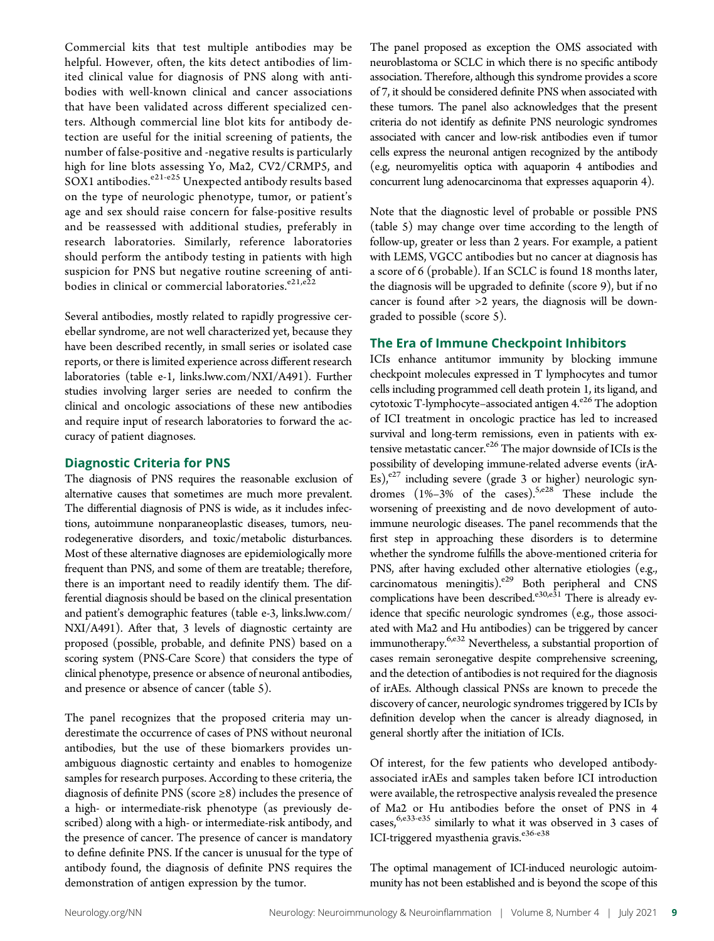Commercial kits that test multiple antibodies may be helpful. However, often, the kits detect antibodies of limited clinical value for diagnosis of PNS along with antibodies with well-known clinical and cancer associations that have been validated across different specialized centers. Although commercial line blot kits for antibody detection are useful for the initial screening of patients, the number of false-positive and -negative results is particularly high for line blots assessing Yo, Ma2, CV2/CRMP5, and SOX1 antibodies. $e^{21-e25}$  Unexpected antibody results based on the type of neurologic phenotype, tumor, or patient's age and sex should raise concern for false-positive results and be reassessed with additional studies, preferably in research laboratories. Similarly, reference laboratories should perform the antibody testing in patients with high suspicion for PNS but negative routine screening of antibodies in clinical or commercial laboratories.<sup>e21,e22</sup>

Several antibodies, mostly related to rapidly progressive cerebellar syndrome, are not well characterized yet, because they have been described recently, in small series or isolated case reports, or there is limited experience across different research laboratories (table e-1, [links.lww.com/NXI/A491\)](http://links.lww.com/NXI/A491). Further studies involving larger series are needed to confirm the clinical and oncologic associations of these new antibodies and require input of research laboratories to forward the accuracy of patient diagnoses.

### Diagnostic Criteria for PNS

The diagnosis of PNS requires the reasonable exclusion of alternative causes that sometimes are much more prevalent. The differential diagnosis of PNS is wide, as it includes infections, autoimmune nonparaneoplastic diseases, tumors, neurodegenerative disorders, and toxic/metabolic disturbances. Most of these alternative diagnoses are epidemiologically more frequent than PNS, and some of them are treatable; therefore, there is an important need to readily identify them. The differential diagnosis should be based on the clinical presentation and patient's demographic features (table e-3, [links.lww.com/](http://links.lww.com/NXI/A491) [NXI/A491\)](http://links.lww.com/NXI/A491). After that, 3 levels of diagnostic certainty are proposed (possible, probable, and definite PNS) based on a scoring system (PNS-Care Score) that considers the type of clinical phenotype, presence or absence of neuronal antibodies, and presence or absence of cancer (table 5).

The panel recognizes that the proposed criteria may underestimate the occurrence of cases of PNS without neuronal antibodies, but the use of these biomarkers provides unambiguous diagnostic certainty and enables to homogenize samples for research purposes. According to these criteria, the diagnosis of definite PNS (score  $\geq$ 8) includes the presence of a high- or intermediate-risk phenotype (as previously described) along with a high- or intermediate-risk antibody, and the presence of cancer. The presence of cancer is mandatory to define definite PNS. If the cancer is unusual for the type of antibody found, the diagnosis of definite PNS requires the demonstration of antigen expression by the tumor.

The panel proposed as exception the OMS associated with neuroblastoma or SCLC in which there is no specific antibody association. Therefore, although this syndrome provides a score of 7, it should be considered definite PNS when associated with these tumors. The panel also acknowledges that the present criteria do not identify as definite PNS neurologic syndromes associated with cancer and low-risk antibodies even if tumor cells express the neuronal antigen recognized by the antibody (e.g, neuromyelitis optica with aquaporin 4 antibodies and concurrent lung adenocarcinoma that expresses aquaporin 4).

Note that the diagnostic level of probable or possible PNS (table 5) may change over time according to the length of follow-up, greater or less than 2 years. For example, a patient with LEMS, VGCC antibodies but no cancer at diagnosis has a score of 6 (probable). If an SCLC is found 18 months later, the diagnosis will be upgraded to definite (score 9), but if no cancer is found after >2 years, the diagnosis will be downgraded to possible (score 5).

### The Era of Immune Checkpoint Inhibitors

ICIs enhance antitumor immunity by blocking immune checkpoint molecules expressed in T lymphocytes and tumor cells including programmed cell death protein 1, its ligand, and cytotoxic T-lymphocyte–associated antigen  $4.^{e26}$  The adoption of ICI treatment in oncologic practice has led to increased survival and long-term remissions, even in patients with extensive metastatic cancer.<sup>e26</sup> The major downside of ICIs is the possibility of developing immune-related adverse events (irA-Es), $e^{27}$  including severe (grade 3 or higher) neurologic syndromes  $(1\% -3\% \text{ of the cases}).$ <sup>5,e28</sup> These include the worsening of preexisting and de novo development of autoimmune neurologic diseases. The panel recommends that the first step in approaching these disorders is to determine whether the syndrome fulfills the above-mentioned criteria for PNS, after having excluded other alternative etiologies (e.g., carcinomatous meningitis). $e^{29}$  Both peripheral and CNS complications have been described.<sup>e30,e31</sup> There is already evidence that specific neurologic syndromes (e.g., those associated with Ma2 and Hu antibodies) can be triggered by cancer immunotherapy.<sup>6,e32</sup> Nevertheless, a substantial proportion of cases remain seronegative despite comprehensive screening, and the detection of antibodies is not required for the diagnosis of irAEs. Although classical PNSs are known to precede the discovery of cancer, neurologic syndromes triggered by ICIs by definition develop when the cancer is already diagnosed, in general shortly after the initiation of ICIs.

Of interest, for the few patients who developed antibodyassociated irAEs and samples taken before ICI introduction were available, the retrospective analysis revealed the presence of Ma2 or Hu antibodies before the onset of PNS in 4 cases,  $6, e^{33-e35}$  similarly to what it was observed in 3 cases of ICI-triggered myasthenia gravis.<sup>e36-e38</sup>

The optimal management of ICI-induced neurologic autoimmunity has not been established and is beyond the scope of this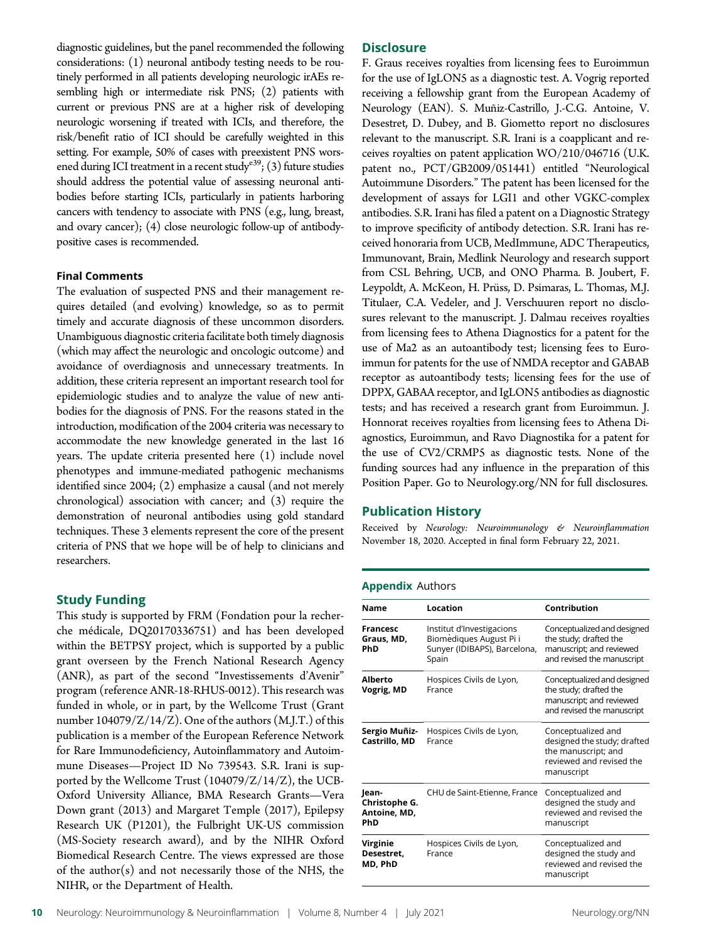diagnostic guidelines, but the panel recommended the following considerations: (1) neuronal antibody testing needs to be routinely performed in all patients developing neurologic irAEs resembling high or intermediate risk PNS; (2) patients with current or previous PNS are at a higher risk of developing neurologic worsening if treated with ICIs, and therefore, the risk/benefit ratio of ICI should be carefully weighted in this setting. For example, 50% of cases with preexistent PNS worsened during ICI treatment in a recent study<sup>e39</sup>; (3) future studies should address the potential value of assessing neuronal antibodies before starting ICIs, particularly in patients harboring cancers with tendency to associate with PNS (e.g., lung, breast, and ovary cancer); (4) close neurologic follow-up of antibodypositive cases is recommended.

### Final Comments

The evaluation of suspected PNS and their management requires detailed (and evolving) knowledge, so as to permit timely and accurate diagnosis of these uncommon disorders. Unambiguous diagnostic criteria facilitate both timely diagnosis (which may affect the neurologic and oncologic outcome) and avoidance of overdiagnosis and unnecessary treatments. In addition, these criteria represent an important research tool for epidemiologic studies and to analyze the value of new antibodies for the diagnosis of PNS. For the reasons stated in the introduction, modification of the 2004 criteria was necessary to accommodate the new knowledge generated in the last 16 years. The update criteria presented here (1) include novel phenotypes and immune-mediated pathogenic mechanisms identified since 2004; (2) emphasize a causal (and not merely chronological) association with cancer; and (3) require the demonstration of neuronal antibodies using gold standard techniques. These 3 elements represent the core of the present criteria of PNS that we hope will be of help to clinicians and researchers.

### Study Funding

This study is supported by FRM (Fondation pour la recherche médicale, DQ20170336751) and has been developed within the BETPSY project, which is supported by a public grant overseen by the French National Research Agency (ANR), as part of the second "Investissements d'Avenir" program (reference ANR-18-RHUS-0012). This research was funded in whole, or in part, by the Wellcome Trust (Grant number 104079/Z/14/Z). One of the authors (M.J.T.) of this publication is a member of the European Reference Network for Rare Immunodeficiency, Autoinflammatory and Autoimmune Diseases—Project ID No 739543. S.R. Irani is supported by the Wellcome Trust (104079/Z/14/Z), the UCB-Oxford University Alliance, BMA Research Grants—Vera Down grant (2013) and Margaret Temple (2017), Epilepsy Research UK (P1201), the Fulbright UK-US commission (MS-Society research award), and by the NIHR Oxford Biomedical Research Centre. The views expressed are those of the author(s) and not necessarily those of the NHS, the NIHR, or the Department of Health.

### **Disclosure**

F. Graus receives royalties from licensing fees to Euroimmun for the use of IgLON5 as a diagnostic test. A. Vogrig reported receiving a fellowship grant from the European Academy of Neurology (EAN). S. Muñiz-Castrillo, J.-C.G. Antoine, V. Desestret, D. Dubey, and B. Giometto report no disclosures relevant to the manuscript. S.R. Irani is a coapplicant and receives royalties on patent application WO/210/046716 (U.K. patent no., PCT/GB2009/051441) entitled "Neurological Autoimmune Disorders." The patent has been licensed for the development of assays for LGI1 and other VGKC-complex antibodies. S.R. Irani has filed a patent on a Diagnostic Strategy to improve specificity of antibody detection. S.R. Irani has received honoraria from UCB, MedImmune, ADC Therapeutics, Immunovant, Brain, Medlink Neurology and research support from CSL Behring, UCB, and ONO Pharma. B. Joubert, F. Leypoldt, A. McKeon, H. Prüss, D. Psimaras, L. Thomas, M.J. Titulaer, C.A. Vedeler, and J. Verschuuren report no disclosures relevant to the manuscript. J. Dalmau receives royalties from licensing fees to Athena Diagnostics for a patent for the use of Ma2 as an autoantibody test; licensing fees to Euroimmun for patents for the use of NMDA receptor and GABAB receptor as autoantibody tests; licensing fees for the use of DPPX, GABAA receptor, and IgLON5 antibodies as diagnostic tests; and has received a research grant from Euroimmun. J. Honnorat receives royalties from licensing fees to Athena Diagnostics, Euroimmun, and Ravo Diagnostika for a patent for the use of CV2/CRMP5 as diagnostic tests. None of the funding sources had any influence in the preparation of this Position Paper. Go to [Neurology.org/NN](https://nn.neurology.org/content/8/4/e1014/tab-article-info) for full disclosures.

### Publication History

Received by Neurology: Neuroimmunology & Neuroinflammation November 18, 2020. Accepted in final form February 22, 2021.

### Appendix Authors

| <b>Name</b>                                   | Location                                                                                      | Contribution                                                                                                       |
|-----------------------------------------------|-----------------------------------------------------------------------------------------------|--------------------------------------------------------------------------------------------------------------------|
| <b>Francesc</b><br>Graus, MD,<br>PhD          | Institut d'Investigacions<br>Biomèdiques August Pi i<br>Sunyer (IDIBAPS), Barcelona,<br>Spain | Conceptualized and designed<br>the study; drafted the<br>manuscript; and reviewed<br>and revised the manuscript    |
| Alberto<br>Vogrig, MD                         | Hospices Civils de Lyon,<br>France                                                            | Conceptualized and designed<br>the study; drafted the<br>manuscript; and reviewed<br>and revised the manuscript    |
| Sergio Muñiz-<br>Castrillo, MD                | Hospices Civils de Lyon,<br>France                                                            | Conceptualized and<br>designed the study; drafted<br>the manuscript; and<br>reviewed and revised the<br>manuscript |
| Jean-<br>Christophe G.<br>Antoine, MD,<br>PhD | CHU de Saint-Etienne, France                                                                  | Conceptualized and<br>designed the study and<br>reviewed and revised the<br>manuscript                             |
| Virginie<br>Desestret,<br>MD, PhD             | Hospices Civils de Lyon,<br>France                                                            | Conceptualized and<br>designed the study and<br>reviewed and revised the<br>manuscript                             |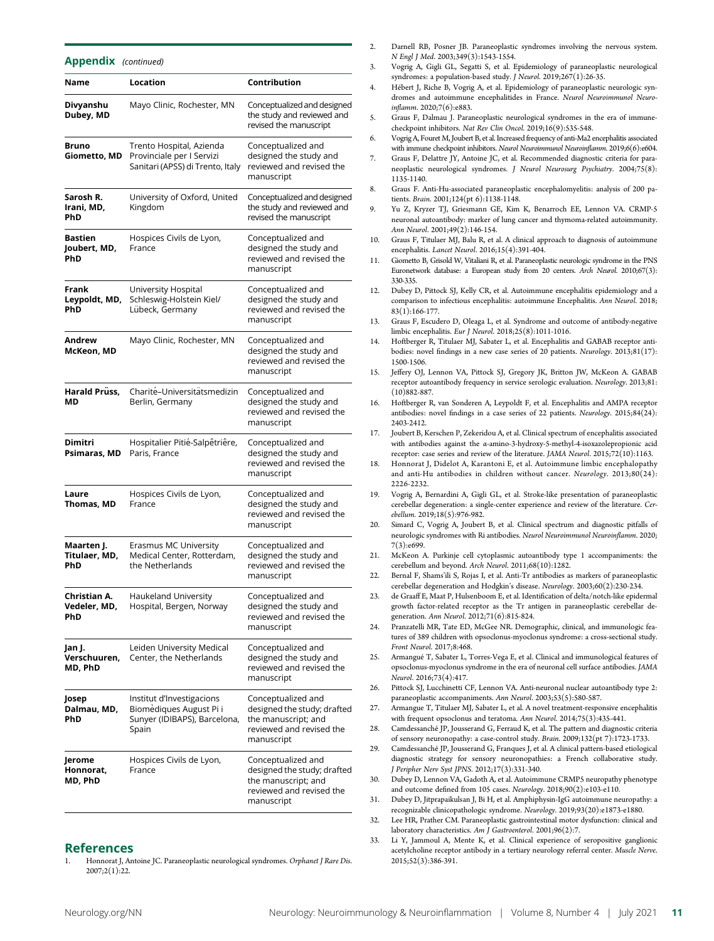Appendix (continued)

| Name                                | Location                                                                                      | Contribution                                                                                                       |
|-------------------------------------|-----------------------------------------------------------------------------------------------|--------------------------------------------------------------------------------------------------------------------|
| Divyanshu<br>Dubey, MD              | Mayo Clinic, Rochester, MN                                                                    | Conceptualized and designed<br>the study and reviewed and<br>revised the manuscript                                |
| Bruno<br>Giometto, MD               | Trento Hospital, Azienda<br>Provinciale per I Servizi<br>Sanitari (APSS) di Trento, Italy     | Conceptualized and<br>designed the study and<br>reviewed and revised the<br>manuscript                             |
| Sarosh R.<br>Irani, MD,<br>PhD      | University of Oxford, United<br>Kingdom                                                       | Conceptualized and designed<br>the study and reviewed and<br>revised the manuscript                                |
| Bastien<br>Joubert, MD,<br>PhD      | Hospices Civils de Lyon,<br>France                                                            | Conceptualized and<br>designed the study and<br>reviewed and revised the<br>manuscript                             |
| Frank<br>Leypoldt, MD,<br>PhD       | University Hospital<br>Schleswig-Holstein Kiel/<br>Lübeck, Germany                            | Conceptualized and<br>designed the study and<br>reviewed and revised the<br>manuscript                             |
| Andrew<br>McKeon, MD                | Mayo Clinic, Rochester, MN                                                                    | Conceptualized and<br>designed the study and<br>reviewed and revised the<br>manuscript                             |
| Harald Prüss,<br>MD                 | Charité-Universitätsmedizin<br>Berlin, Germany                                                | Conceptualized and<br>designed the study and<br>reviewed and revised the<br>manuscript                             |
| Dimitri<br>Psimaras, MD             | Hospitalier Pitié-Salpêtriêre,<br>Paris, France                                               | Conceptualized and<br>designed the study and<br>reviewed and revised the<br>manuscript                             |
| Laure<br>Thomas, MD                 | Hospices Civils de Lyon,<br>France                                                            | Conceptualized and<br>designed the study and<br>reviewed and revised the<br>manuscript                             |
| Maarten J.<br>Titulaer, MD,<br>PhD  | Erasmus MC University<br>Medical Center, Rotterdam,<br>the Netherlands                        | Conceptualized and<br>designed the study and<br>reviewed and revised the<br>manuscript                             |
| Christian A.<br>Vedeler, MD,<br>PhD | Haukeland University<br>Hospital, Bergen, Norway                                              | Conceptualized and<br>designed the study and<br>reviewed and revised the<br>manuscript                             |
| Jan J.<br>Verschuuren,<br>MD, PhD   | Leiden University Medical<br>Center, the Netherlands                                          | Conceptualized and<br>designed the study and<br>reviewed and revised the<br>manuscript                             |
| Josep<br>Dalmau, MD,<br>PhD         | Institut d'Investigacions<br>Biomėdiques August Pi i<br>Sunyer (IDIBAPS), Barcelona,<br>Spain | Conceptualized and<br>designed the study; drafted<br>the manuscript; and<br>reviewed and revised the<br>manuscript |
| Jerome<br>Honnorat,<br>MD, PhD      | Hospices Civils de Lyon,<br>France                                                            | Conceptualized and<br>designed the study; drafted<br>the manuscript; and<br>reviewed and revised the<br>manuscript |

### References

Honnorat J, Antoine JC. Paraneoplastic neurological syndromes. Orphanet J Rare Dis. 2007;2(1):22.

- Darnell RB, Posner JB. Paraneoplastic syndromes involving the nervous system. N Engl J Med. 2003;349(3):1543-1554.
- 3. Vogrig A, Gigli GL, Segatti S, et al. Epidemiology of paraneoplastic neurological syndromes: a population-based study. J Neurol. 2019;267(1):26-35.
- 4. Hébert J, Riche B, Vogrig A, et al. Epidemiology of paraneoplastic neurologic syndromes and autoimmune encephalitides in France. Neurol Neuroimmunol Neuroinflamm. 2020;7(6):e883.
- 5. Graus F, Dalmau J. Paraneoplastic neurological syndromes in the era of immunecheckpoint inhibitors. Nat Rev Clin Oncol. 2019;16(9):535-548.
- 6. Vogrig A, Fouret M, Joubert B, et al. Increased frequency of anti-Ma2 encephalitis associated with immune checkpoint inhibitors. Neurol Neuroimmunol Neuroinflamm. 2019;6(6):e604.
- 7. Graus F, Delattre JY, Antoine JC, et al. Recommended diagnostic criteria for paraneoplastic neurological syndromes. J Neurol Neurosurg Psychiatry. 2004;75(8): 1135-1140.
- 8. Graus F. Anti-Hu-associated paraneoplastic encephalomyelitis: analysis of 200 patients. Brain. 2001;124(pt 6):1138-1148.
- 9. Yu Z, Kryzer TJ, Griesmann GE, Kim K, Benarroch EE, Lennon VA. CRMP-5 neuronal autoantibody: marker of lung cancer and thymoma-related autoimmunity. Ann Neurol. 2001;49(2):146-154.
- 10. Graus F, Titulaer MJ, Balu R, et al. A clinical approach to diagnosis of autoimmune encephalitis. Lancet Neurol. 2016;15(4):391-404.
- 11. Giometto B, Grisold W, Vitaliani R, et al. Paraneoplastic neurologic syndrome in the PNS Euronetwork database: a European study from 20 centers. Arch Neurol. 2010;67(3): 330-335.
- 12. Dubey D, Pittock SJ, Kelly CR, et al. Autoimmune encephalitis epidemiology and a comparison to infectious encephalitis: autoimmune Encephalitis. Ann Neurol. 2018; 83(1):166-177.
- 13. Graus F, Escudero D, Oleaga L, et al. Syndrome and outcome of antibody-negative limbic encephalitis. Eur J Neurol. 2018;25(8):1011-1016.
- Hoftberger R, Titulaer MJ, Sabater L, et al. Encephalitis and GABAB receptor antibodies: novel findings in a new case series of 20 patients. Neurology. 2013;81(17): 1500-1506.
- 15. Jeffery OJ, Lennon VA, Pittock SJ, Gregory JK, Britton JW, McKeon A. GABAB receptor autoantibody frequency in service serologic evaluation. Neurology. 2013;81: (10)882-887.
- 16. Hoftberger R, van Sonderen A, Leypoldt F, et al. Encephalitis and AMPA receptor antibodies: novel findings in a case series of 22 patients. Neurology. 2015;84(24): 2403-2412.
- 17. Joubert B, Kerschen P, Zekeridou A, et al. Clinical spectrum of encephalitis associated with antibodies against the α-amino-3-hydroxy-5-methyl-4-isoxazolepropionic acid receptor: case series and review of the literature. JAMA Neurol. 2015;72(10):1163.
- 18. Honnorat J, Didelot A, Karantoni E, et al. Autoimmune limbic encephalopathy and anti-Hu antibodies in children without cancer. Neurology. 2013;80(24): 2226-2232.
- 19. Vogrig A, Bernardini A, Gigli GL, et al. Stroke-like presentation of paraneoplastic cerebellar degeneration: a single-center experience and review of the literature. Cerebellum. 2019;18(5):976-982.
- 20. Simard C, Vogrig A, Joubert B, et al. Clinical spectrum and diagnostic pitfalls of neurologic syndromes with Ri antibodies. Neurol Neuroimmunol Neuroinflamm. 2020; 7(3):e699.
- 21. McKeon A. Purkinje cell cytoplasmic autoantibody type 1 accompaniments: the cerebellum and beyond. Arch Neurol. 2011;68(10):1282.
- 22. Bernal F, Shams'ili S, Rojas I, et al. Anti-Tr antibodies as markers of paraneoplastic cerebellar degeneration and Hodgkin's disease. Neurology. 2003;60(2):230-234.
- de Graaff E, Maat P, Hulsenboom E, et al. Identification of delta/notch-like epidermal growth factor-related receptor as the Tr antigen in paraneoplastic cerebellar degeneration. Ann Neurol. 2012;71(6):815-824.
- 24. Pranzatelli MR, Tate ED, McGee NR. Demographic, clinical, and immunologic features of 389 children with opsoclonus-myoclonus syndrome: a cross-sectional study. Front Neurol. 2017;8:468.
- 25. Armangué T, Sabater L, Torres-Vega E, et al. Clinical and immunological features of opsoclonus-myoclonus syndrome in the era of neuronal cell surface antibodies. JAMA Neurol. 2016;73(4):417.
- 26. Pittock SJ, Lucchinetti CF, Lennon VA. Anti-neuronal nuclear autoantibody type 2: paraneoplastic accompaniments. Ann Neurol. 2003;53(5):580-587.
- 27. Armangue T, Titulaer MJ, Sabater L, et al. A novel treatment-responsive encephalitis with frequent opsoclonus and teratoma. Ann Neurol. 2014;75(3):435-441.
- 28. Camdessanché IP, Jousserand G, Ferraud K, et al. The pattern and diagnostic criteria of sensory neuronopathy: a case-control study. Brain. 2009;132(pt 7):1723-1733.
- 29. Camdessanché JP, Jousserand G, Franques J, et al. A clinical pattern-based etiological diagnostic strategy for sensory neuronopathies: a French collaborative study. J Peripher Nerv Syst JPNS. 2012;17(3):331-340.
- 30. Dubey D, Lennon VA, Gadoth A, et al. Autoimmune CRMP5 neuropathy phenotype and outcome defined from 105 cases. Neurology. 2018;90(2):e103-e110.
- 31. Dubey D, Jitprapaikulsan J, Bi H, et al. Amphiphysin-IgG autoimmune neuropathy: a recognizable clinicopathologic syndrome. Neurology. 2019;93(20):e1873-e1880.
- 32. Lee HR, Prather CM. Paraneoplastic gastrointestinal motor dysfunction: clinical and laboratory characteristics. Am J Gastroenterol. 2001;96(2):7.
- Li Y, Jammoul A, Mente K, et al. Clinical experience of seropositive ganglionic acetylcholine receptor antibody in a tertiary neurology referral center. Muscle Nerve. 2015;52(3):386-391.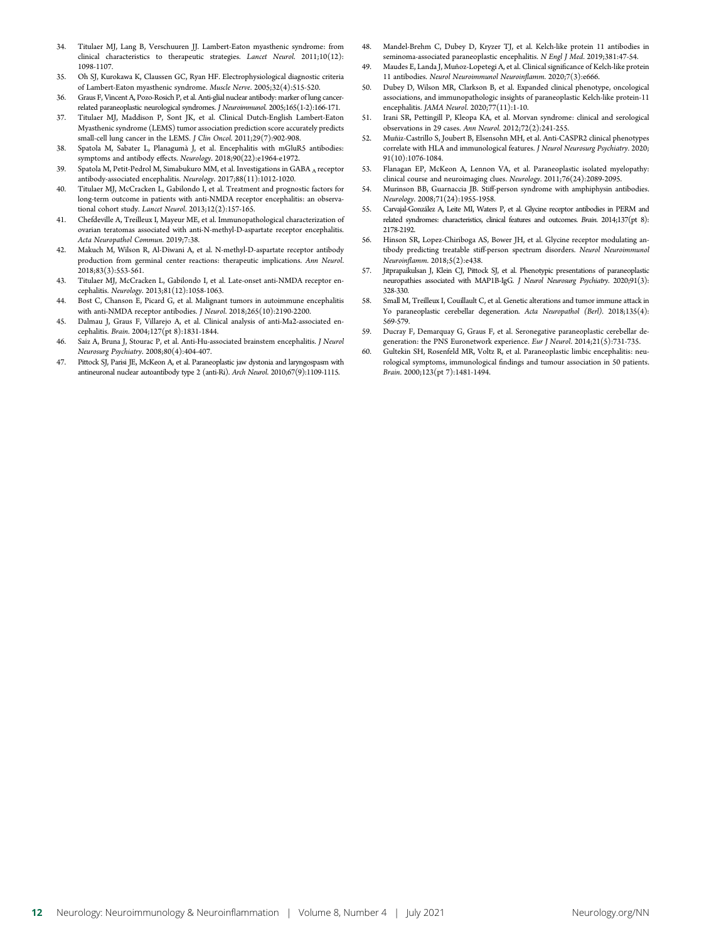- 34. Titulaer MJ, Lang B, Verschuuren JJ. Lambert-Eaton myasthenic syndrome: from clinical characteristics to therapeutic strategies. Lancet Neurol. 2011;10(12): 1098-1107.
- 35. Oh SJ, Kurokawa K, Claussen GC, Ryan HF. Electrophysiological diagnostic criteria of Lambert-Eaton myasthenic syndrome. Muscle Nerve. 2005;32(4):515-520.
- 36. Graus F, Vincent A, Pozo-Rosich P, et al. Anti-glial nuclear antibody: marker of lung cancerrelated paraneoplastic neurological syndromes. J Neuroimmunol. 2005;165(1-2):166-171.
- 37. Titulaer MJ, Maddison P, Sont JK, et al. Clinical Dutch-English Lambert-Eaton Myasthenic syndrome (LEMS) tumor association prediction score accurately predicts small-cell lung cancer in the LEMS. J Clin Oncol. 2011;29(7):902-908.
- 38. Spatola M, Sabater L, Planagumà J, et al. Encephalitis with mGluR5 antibodies: symptoms and antibody effects. Neurology. 2018;90(22):e1964-e1972.
- 39. Spatola M, Petit-Pedrol M, Simabukuro MM, et al. Investigations in GABA A receptor antibody-associated encephalitis. Neurology. 2017;88(11):1012-1020.
- 40. Titulaer MJ, McCracken L, Gabilondo I, et al. Treatment and prognostic factors for long-term outcome in patients with anti-NMDA receptor encephalitis: an observational cohort study. Lancet Neurol. 2013;12(2):157-165.
- 41. Chefdeville A, Treilleux I, Mayeur ME, et al. Immunopathological characterization of ovarian teratomas associated with anti-N-methyl-D-aspartate receptor encephalitis. Acta Neuropathol Commun. 2019;7:38.
- 42. Makuch M, Wilson R, Al-Diwani A, et al. N-methyl-D-aspartate receptor antibody production from germinal center reactions: therapeutic implications. Ann Neurol. 2018;83(3):553-561.
- 43. Titulaer MJ, McCracken L, Gabilondo I, et al. Late-onset anti-NMDA receptor encephalitis. Neurology. 2013;81(12):1058-1063.
- 44. Bost C, Chanson E, Picard G, et al. Malignant tumors in autoimmune encephalitis with anti-NMDA receptor antibodies. J Neurol. 2018;265(10):2190-2200.
- 45. Dalmau J, Graus F, Villarejo A, et al. Clinical analysis of anti-Ma2-associated encephalitis. Brain. 2004;127(pt 8):1831-1844.
- 46. Saiz A, Bruna J, Stourac P, et al. Anti-Hu-associated brainstem encephalitis. J Neurol Neurosurg Psychiatry. 2008;80(4):404-407.
- 47. Pittock SJ, Parisi JE, McKeon A, et al. Paraneoplastic jaw dystonia and laryngospasm with antineuronal nuclear autoantibody type 2 (anti-Ri). Arch Neurol. 2010;67(9):1109-1115.
- 48. Mandel-Brehm C, Dubey D, Kryzer TJ, et al. Kelch-like protein 11 antibodies in seminoma-associated paraneoplastic encephalitis. N Engl J Med. 2019;381:47-54.
- 49. Maudes E, Landa J, Muñoz-Lopetegi A, et al. Clinical significance of Kelch-like protein 11 antibodies. Neurol Neuroimmunol Neuroinflamm. 2020;7(3):e666.
- 50. Dubey D, Wilson MR, Clarkson B, et al. Expanded clinical phenotype, oncological associations, and immunopathologic insights of paraneoplastic Kelch-like protein-11 encephalitis. JAMA Neurol. 2020;77(11):1-10.
- 51. Irani SR, Pettingill P, Kleopa KA, et al. Morvan syndrome: clinical and serological observations in 29 cases. Ann Neurol. 2012;72(2):241-255.
- 52. Muñiz-Castrillo S, Joubert B, Elsensohn MH, et al. Anti-CASPR2 clinical phenotypes correlate with HLA and immunological features. J Neurol Neurosurg Psychiatry. 2020; 91(10):1076-1084.
- 53. Flanagan EP, McKeon A, Lennon VA, et al. Paraneoplastic isolated myelopathy: clinical course and neuroimaging clues. Neurology. 2011;76(24):2089-2095.
- 54. Murinson BB, Guarnaccia JB. Stiff-person syndrome with amphiphysin antibodies. Neurology. 2008;71(24):1955-1958.
- 55. Carvajal-González A, Leite MI, Waters P, et al. Glycine receptor antibodies in PERM and related syndromes: characteristics, clinical features and outcomes. Brain. 2014;137(pt 8): 2178-2192.
- 56. Hinson SR, Lopez-Chiriboga AS, Bower JH, et al. Glycine receptor modulating antibody predicting treatable stiff-person spectrum disorders. Neurol Neuroimmunol Neuroinflamm. 2018;5(2):e438.
- 57. Jitprapaikulsan J, Klein CJ, Pittock SJ, et al. Phenotypic presentations of paraneoplastic neuropathies associated with MAP1B-IgG. J Neurol Neurosurg Psychiatry. 2020;91(3): 328-330.
- 58. Small M, Treilleux I, Couillault C, et al. Genetic alterations and tumor immune attack in Yo paraneoplastic cerebellar degeneration. Acta Neuropathol (Berl). 2018;135(4): 569-579.
- 59. Ducray F, Demarquay G, Graus F, et al. Seronegative paraneoplastic cerebellar degeneration: the PNS Euronetwork experience. Eur J Neurol. 2014;21(5):731-735.
- 60. Gultekin SH, Rosenfeld MR, Voltz R, et al. Paraneoplastic limbic encephalitis: neurological symptoms, immunological findings and tumour association in 50 patients. Brain. 2000;123(pt 7):1481-1494.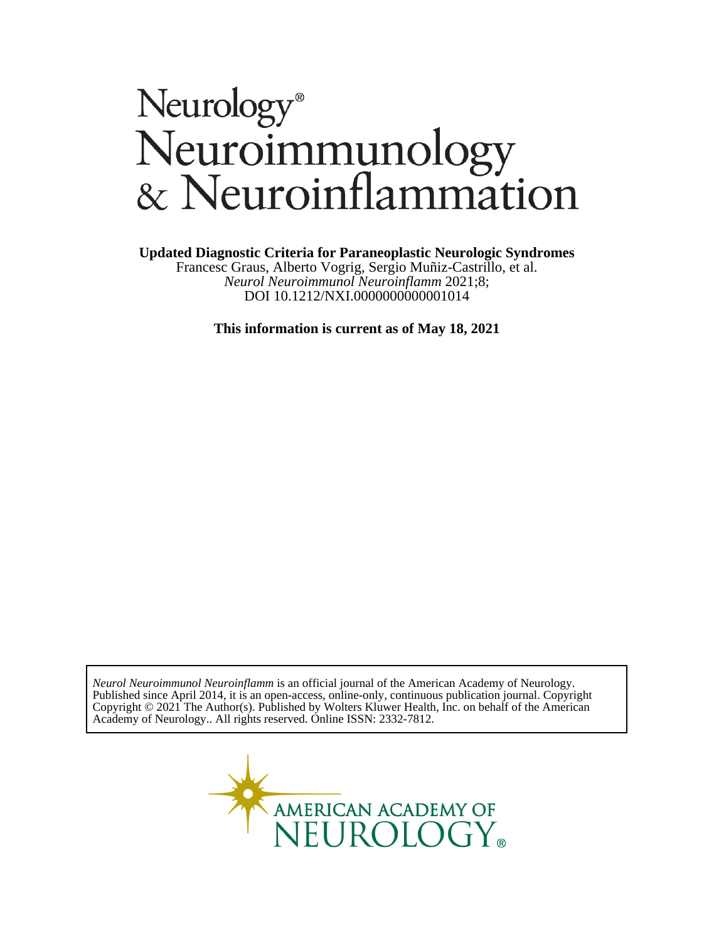# Neurology®<br>Neuroimmunology<br>& Neuroinflammation

**Updated Diagnostic Criteria for Paraneoplastic Neurologic Syndromes**

DOI 10.1212/NXI.0000000000001014 *Neurol Neuroimmunol Neuroinflamm* 2021;8; Francesc Graus, Alberto Vogrig, Sergio Muñiz-Castrillo, et al.

**This information is current as of May 18, 2021**

Academy of Neurology.. All rights reserved. Online ISSN: 2332-7812. Copyright © 2021 The Author(s). Published by Wolters Kluwer Health, Inc. on behalf of the American Published since April 2014, it is an open-access, online-only, continuous publication journal. Copyright *Neurol Neuroimmunol Neuroinflamm* is an official journal of the American Academy of Neurology.